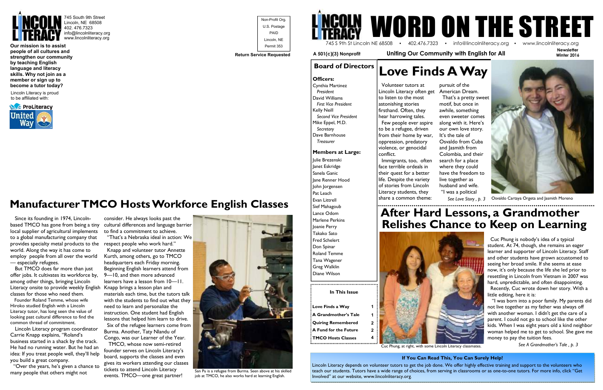

745 South 9th Street Lincoln, NE 68508 402. 476.7323 info@lincolnliteracy.org www.lincolnliteracy.org

**Our mission is to assist people of all cultures and strengthen our community by teaching English language and literacy skills. Why not join as a member or sign up to become a tutor today?** 

Lincoln Literacy is proud to be affiliated with:





## **Manufacturer TMCO Hosts Workforce English Classes**

 Since its founding in 1974, Lincolnbased TMCO has gone from being a tiny local supplier of agricultural implements to a global manufacturing company that provides specialty metal products to the world. Along the way it has come to employ people from all over the world — especially refugees.

 But TMCO does far more than just offer jobs. It cultivates its workforce by, among other things, bringing Lincoln Literacy onsite to provide weekly English Knapp brings a lesson plan and classes for those who need them.

 Founder Roland Temme, whose wife Hiroko studied English with a Lincoln Literacy tutor, has long seen the value of looking past cultural difference to find the common thread of commitment.

 Lincoln Literacy program coordinator Carrie Knapp explains, "Roland's business started in a shack by the track. He had no running water. But he had an idea: If you treat people well, they'll help you build a great company.

 "Over the years, he's given a chance to many people that others might not

consider. He always looks past the cultural differences and language barrier to find a commitment to achieve.

 "That's a Nebraska ideal in action: We respect people who work hard."

 Knapp and volunteer tutor Annette Kurth, among others, go to TMCO headquarters each Friday morning. Beginning English learners attend from 9—10, and then more advanced learners have a lesson from 10—11. materials each time, but the tutors talk with the students to find out what they need to learn and personalize the instruction. One student had English lessons that helped him learn to drive. Six of the refugee learners come from Burma. Another, Taty Nlandu of Congo, was our Learner of the Year.

 TMCO, whose now semi-retired founder serves on Lincoln Literacy's board, supports the classes and even gives its workers attending our classes tickets to attend Lincoln Literacy events. TMCO—one great partner!

**Board of Directors Love Finds A Way**  Volunteer tutors at Lincoln Literacy often get American Dream.



San Pu is a refugee from Burma. Seen above at his skilled job at TMCO, he also works hard at learning English.

**Newsletter** 

**Winter 2016** 

### **In This Issue**

| Love Finds a Way          |   |
|---------------------------|---|
| : A Grandmother's Tale    |   |
| : Quiring Remembered      | 2 |
| A Fund for the Future     | 2 |
| <b>TMCO Hosts Classes</b> |   |

..................................



 **A 501(c)(3) Nonprofit Uniting Our Community with English for All** 

 Cuc Phung is nobody's idea of a typical student. At 74, though, she remains an eager learner and supporter of Lincoln Literacy. Staff and other students have grown accustomed to seeing her broad smile. If she seems at ease now, it's only because the life she led prior to resettling in Lincoln from Vietnam in 2007 was hard, unpredictable, and often disappointing.

 Recently, Cuc wrote down her story. With a little editing, here it is:

 "I was born into a poor family. My parents did not live together as my father was always off with another woman. I didn't get the care of a parent. I could not go to school like the other kids. When I was eight years old a kind neighbor woman helped me to get to school. She gave me money to pay the tuition fees.

*See A Grandmother's Tale , p. 3*

 Cynthia Martinez  *President*  David Williams *First Vice President* Kelly Neill *Second Vice President*Mike Eppel, M.D. *Secretary* Dave Barnhouse *Treasurer*

**Members at Large:** 

Julie Brezenski Janet Eskridge Sanela Ganic Jane Renner Hood John Jorgensen Pat Leach Evan Littrell Sief Mahagoub Lance Odom Marlene Perkins Joanie Perry Takako Sato Fred Schelert Don Spinar Roland Temme Tana Wagener Greg Walklin Diane Wilson

to listen to the most astonishing stories firsthand. Often, they hear harrowing tales. Few people ever aspire to be a refugee, driven from their home by war, oppression, predatory violence, or genocidal conflict.

 Immigrants, too, often face terrible ordeals in their quest for a better life. Despite the variety of stories from Lincoln Literacy students, they share a common theme: 

pursuit of the That's a pretty sweet motif, but once in awhile, something even sweeter comes along with it. Here's our own love story. It's the tale of Osvaldo from Cuba and Jasmith from Colombia, and their search for a place where they could have the freedom to live together as husband and wife. "I was a political





### **If You Can Read This, You Can Surely Help!**

Lincoln Literacy depends on volunteer tutors to get the job done. We offer highly effective training and support to the volunteers who teach our students. Tutors have a wide range of choices, from serving in classrooms or as one-to-one tutors. For more info, click "Get Involved" at our website, www.lincolnliteracy.org.

Osvaldo Cartaya Orgeta and Jasmith Moreno



# **After Hard Lessons, a Grandmother Relishes Chance to Keep on Learning**